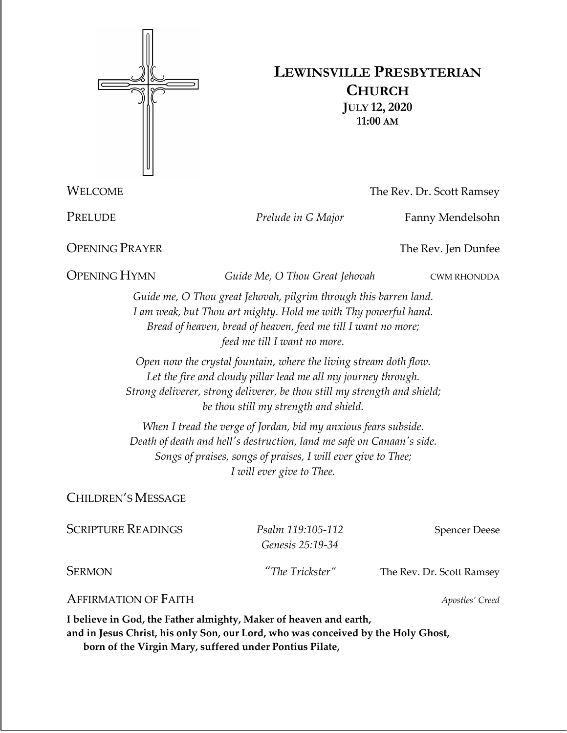

## **LEWINSVILLE PRESBYTERIAN CHURCH JULY 12, 2020 11:00 AM**

WELCOME The Rev. Dr. Scott Ramsey

PRELUDE *Prelude in G Major* Fanny Mendelsohn

**OPENING PRAYER** The Rev. Jen Dunfee

OPENING HYMN *Guide Me, O Thou Great Jehovah* CWM RHONDDA

*Guide me, O Thou great Jehovah, pilgrim through this barren land. I am weak, but Thou art mighty. Hold me with Thy powerful hand. Bread of heaven, bread of heaven, feed me till I want no more; feed me till I want no more.*

*Open now the crystal fountain, where the living stream doth flow. Let the fire and cloudy pillar lead me all my journey through. Strong deliverer, strong deliverer, be thou still my strength and shield; be thou still my strength and shield.*

*When I tread the verge of Jordan, bid my anxious fears subside. Death of death and hell's destruction, land me safe on Canaan's side. Songs of praises, songs of praises, I will ever give to Thee; I will ever give to Thee.*

CHILDREN'S MESSAGE

| <b>SCRIPTURE READINGS</b>   | Psalm 119:105-112<br>Genesis 25:19-34 | <b>Spencer Deese</b>      |  |
|-----------------------------|---------------------------------------|---------------------------|--|
| <b>SERMON</b>               | "The Trickster"                       | The Rev. Dr. Scott Ramsey |  |
| <b>AFFIRMATION OF FAITH</b> |                                       | Apostles' Creed           |  |

**I believe in God, the Father almighty, Maker of heaven and earth, and in Jesus Christ, his only Son, our Lord, who was conceived by the Holy Ghost, born of the Virgin Mary, suffered under Pontius Pilate,**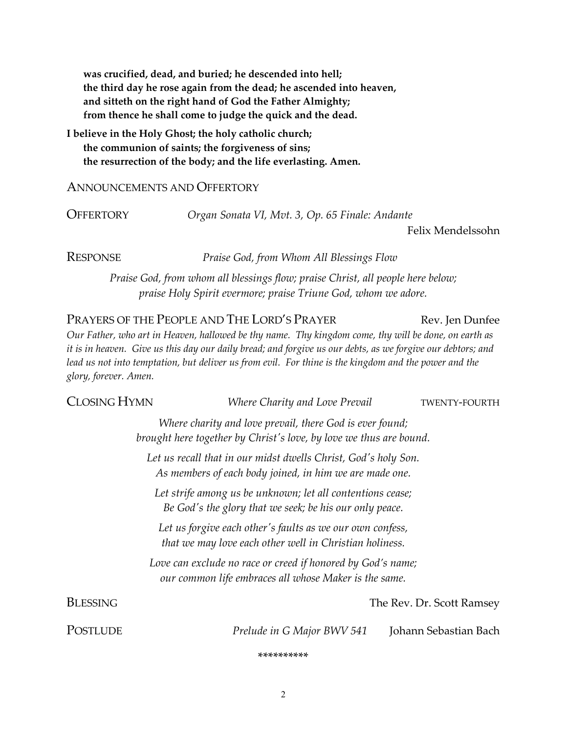**was crucified, dead, and buried; he descended into hell; the third day he rose again from the dead; he ascended into heaven, and sitteth on the right hand of God the Father Almighty; from thence he shall come to judge the quick and the dead.**

**I believe in the Holy Ghost; the holy catholic church; the communion of saints; the forgiveness of sins; the resurrection of the body; and the life everlasting. Amen.**

## ANNOUNCEMENTS AND OFFERTORY

OFFERTORY *Organ Sonata VI, Mvt. 3, Op. 65 Finale: Andante*

Felix Mendelssohn

RESPONSE *Praise God, from Whom All Blessings Flow*

*Praise God, from whom all blessings flow; praise Christ, all people here below; praise Holy Spirit evermore; praise Triune God, whom we adore.*

PRAYERS OF THE PEOPLE AND THE LORD'S PRAYER Rev. Jen Dunfee *Our Father, who art in Heaven, hallowed be thy name. Thy kingdom come, thy will be done, on earth as it is in heaven. Give us this day our daily bread; and forgive us our debts, as we forgive our debtors; and lead us not into temptation, but deliver us from evil. For thine is the kingdom and the power and the glory, forever. Amen.* 

| CLOSING HYMN                                                                                                                   |                                                                                                                      | Where Charity and Love Prevail                          |  | TWENTY-FOURTH             |  |
|--------------------------------------------------------------------------------------------------------------------------------|----------------------------------------------------------------------------------------------------------------------|---------------------------------------------------------|--|---------------------------|--|
| Where charity and love prevail, there God is ever found;<br>brought here together by Christ's love, by love we thus are bound. |                                                                                                                      |                                                         |  |                           |  |
|                                                                                                                                | Let us recall that in our midst dwells Christ, God's holy Son.                                                       | As members of each body joined, in him we are made one. |  |                           |  |
| Let strife among us be unknown; let all contentions cease;<br>Be God's the glory that we seek; be his our only peace.          |                                                                                                                      |                                                         |  |                           |  |
| Let us forgive each other's faults as we our own confess,<br>that we may love each other well in Christian holiness.           |                                                                                                                      |                                                         |  |                           |  |
|                                                                                                                                | Love can exclude no race or creed if honored by God's name;<br>our common life embraces all whose Maker is the same. |                                                         |  |                           |  |
| <b>BLESSING</b>                                                                                                                |                                                                                                                      |                                                         |  | The Rev. Dr. Scott Ramsey |  |
| <b>POSTLUDE</b>                                                                                                                |                                                                                                                      | Prelude in G Major BWV 541                              |  | Johann Sebastian Bach     |  |

\*\*\*\*\*\*\*\*\*\*